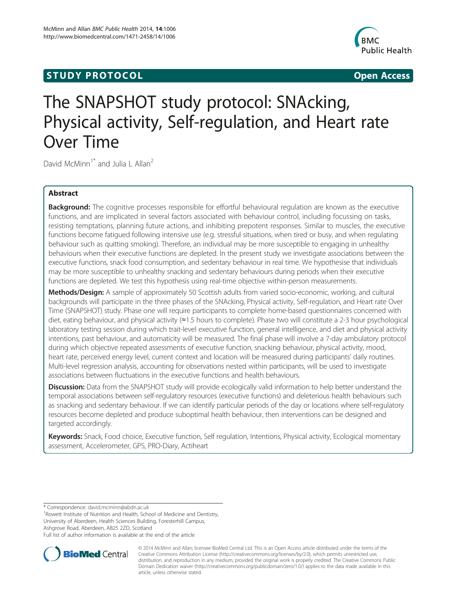# **STUDY PROTOCOL CONSUMING THE STUDY PROTOCOL**



# The SNAPSHOT study protocol: SNAcking, Physical activity, Self-regulation, and Heart rate Over Time

David McMinn<sup>1\*</sup> and Julia L Allan<sup>2</sup>

# Abstract

**Background:** The cognitive processes responsible for effortful behavioural regulation are known as the executive functions, and are implicated in several factors associated with behaviour control, including focussing on tasks, resisting temptations, planning future actions, and inhibiting prepotent responses. Similar to muscles, the executive functions become fatigued following intensive use (e.g. stressful situations, when tired or busy, and when regulating behaviour such as quitting smoking). Therefore, an individual may be more susceptible to engaging in unhealthy behaviours when their executive functions are depleted. In the present study we investigate associations between the executive functions, snack food consumption, and sedentary behaviour in real time. We hypothesise that individuals may be more susceptible to unhealthy snacking and sedentary behaviours during periods when their executive functions are depleted. We test this hypothesis using real-time objective within-person measurements.

Methods/Design: A sample of approximately 50 Scottish adults from varied socio-economic, working, and cultural backgrounds will participate in the three phases of the SNAcking, Physical activity, Self-regulation, and Heart rate Over Time (SNAPSHOT) study. Phase one will require participants to complete home-based questionnaires concerned with diet, eating behaviour, and physical activity (≈1.5 hours to complete). Phase two will constitute a 2-3 hour psychological laboratory testing session during which trait-level executive function, general intelligence, and diet and physical activity intentions, past behaviour, and automaticity will be measured. The final phase will involve a 7-day ambulatory protocol during which objective repeated assessments of executive function, snacking behaviour, physical activity, mood, heart rate, perceived energy level, current context and location will be measured during participants' daily routines. Multi-level regression analysis, accounting for observations nested within participants, will be used to investigate associations between fluctuations in the executive functions and health behaviours.

Discussion: Data from the SNAPSHOT study will provide ecologically valid information to help better understand the temporal associations between self-regulatory resources (executive functions) and deleterious health behaviours such as snacking and sedentary behaviour. If we can identify particular periods of the day or locations where self-regulatory resources become depleted and produce suboptimal health behaviour, then interventions can be designed and targeted accordingly.

Keywords: Snack, Food choice, Executive function, Self regulation, Intentions, Physical activity, Ecological momentary assessment, Accelerometer, GPS, PRO-Diary, Actiheart

\* Correspondence: [david.mcminn@abdn.ac.uk](mailto:david.mcminn@abdn.ac.uk) <sup>1</sup>

<sup>1</sup> Rowett Institute of Nutrition and Health, School of Medicine and Dentistry, University of Aberdeen, Health Sciences Building, Foresterhill Campus, Ashgrove Road, Aberdeen, AB25 2ZD, Scotland

Full list of author information is available at the end of the article



© 2014 McMinn and Allan; licensee BioMed Central Ltd. This is an Open Access article distributed under the terms of the Creative Commons Attribution License (<http://creativecommons.org/licenses/by/2.0>), which permits unrestricted use, distribution, and reproduction in any medium, provided the original work is properly credited. The Creative Commons Public Domain Dedication waiver [\(http://creativecommons.org/publicdomain/zero/1.0/\)](http://creativecommons.org/publicdomain/zero/1.0/) applies to the data made available in this article, unless otherwise stated.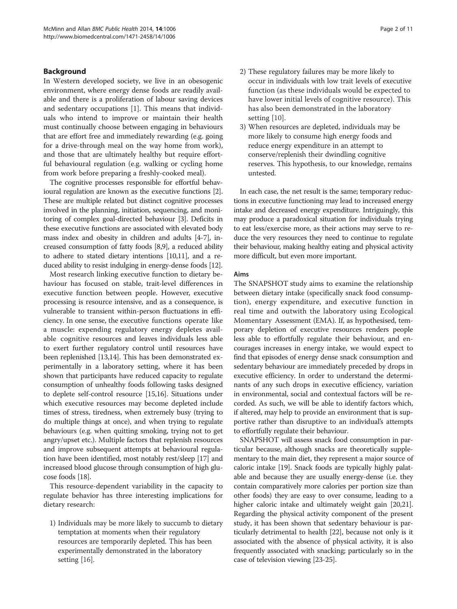#### Background

In Western developed society, we live in an obesogenic environment, where energy dense foods are readily available and there is a proliferation of labour saving devices and sedentary occupations [[1\]](#page-8-0). This means that individuals who intend to improve or maintain their health must continually choose between engaging in behaviours that are effort free and immediately rewarding (e.g. going for a drive-through meal on the way home from work), and those that are ultimately healthy but require effortful behavioural regulation (e.g. walking or cycling home from work before preparing a freshly-cooked meal).

The cognitive processes responsible for effortful behavioural regulation are known as the executive functions [[2](#page-8-0)]. These are multiple related but distinct cognitive processes involved in the planning, initiation, sequencing, and monitoring of complex goal-directed behaviour [\[3\]](#page-8-0). Deficits in these executive functions are associated with elevated body mass index and obesity in children and adults [[4-7\]](#page-8-0), increased consumption of fatty foods [\[8,9\]](#page-8-0), a reduced ability to adhere to stated dietary intentions [\[10,11](#page-9-0)], and a reduced ability to resist indulging in energy-dense foods [\[12\]](#page-9-0).

Most research linking executive function to dietary behaviour has focused on stable, trait-level differences in executive function between people. However, executive processing is resource intensive, and as a consequence, is vulnerable to transient within-person fluctuations in efficiency. In one sense, the executive functions operate like a muscle: expending regulatory energy depletes available cognitive resources and leaves individuals less able to exert further regulatory control until resources have been replenished [[13,14](#page-9-0)]. This has been demonstrated experimentally in a laboratory setting, where it has been shown that participants have reduced capacity to regulate consumption of unhealthy foods following tasks designed to deplete self-control resource [[15,16\]](#page-9-0). Situations under which executive resources may become depleted include times of stress, tiredness, when extremely busy (trying to do multiple things at once), and when trying to regulate behaviours (e.g. when quitting smoking, trying not to get angry/upset etc.). Multiple factors that replenish resources and improve subsequent attempts at behavioural regulation have been identified, most notably rest/sleep [\[17\]](#page-9-0) and increased blood glucose through consumption of high glucose foods [\[18\]](#page-9-0).

This resource-dependent variability in the capacity to regulate behavior has three interesting implications for dietary research:

1) Individuals may be more likely to succumb to dietary temptation at moments when their regulatory resources are temporarily depleted. This has been experimentally demonstrated in the laboratory setting [\[16](#page-9-0)].

- 2) These regulatory failures may be more likely to occur in individuals with low trait levels of executive function (as these individuals would be expected to have lower initial levels of cognitive resource). This has also been demonstrated in the laboratory setting [\[10](#page-9-0)].
- 3) When resources are depleted, individuals may be more likely to consume high energy foods and reduce energy expenditure in an attempt to conserve/replenish their dwindling cognitive reserves. This hypothesis, to our knowledge, remains untested.

In each case, the net result is the same; temporary reductions in executive functioning may lead to increased energy intake and decreased energy expenditure. Intriguingly, this may produce a paradoxical situation for individuals trying to eat less/exercise more, as their actions may serve to reduce the very resources they need to continue to regulate their behaviour, making healthy eating and physical activity more difficult, but even more important.

#### Aims

The SNAPSHOT study aims to examine the relationship between dietary intake (specifically snack food consumption), energy expenditure, and executive function in real time and outwith the laboratory using Ecological Momentary Assessment (EMA). If, as hypothesised, temporary depletion of executive resources renders people less able to effortfully regulate their behaviour, and encourages increases in energy intake, we would expect to find that episodes of energy dense snack consumption and sedentary behaviour are immediately preceded by drops in executive efficiency. In order to understand the determinants of any such drops in executive efficiency, variation in environmental, social and contextual factors will be recorded. As such, we will be able to identify factors which, if altered, may help to provide an environment that is supportive rather than disruptive to an individual's attempts to effortfully regulate their behaviour.

SNAPSHOT will assess snack food consumption in particular because, although snacks are theoretically supplementary to the main diet, they represent a major source of caloric intake [[19](#page-9-0)]. Snack foods are typically highly palatable and because they are usually energy-dense (i.e. they contain comparatively more calories per portion size than other foods) they are easy to over consume, leading to a higher caloric intake and ultimately weight gain [\[20,21](#page-9-0)]. Regarding the physical activity component of the present study, it has been shown that sedentary behaviour is particularly detrimental to health [[22](#page-9-0)], because not only is it associated with the absence of physical activity, it is also frequently associated with snacking; particularly so in the case of television viewing [\[23-25\]](#page-9-0).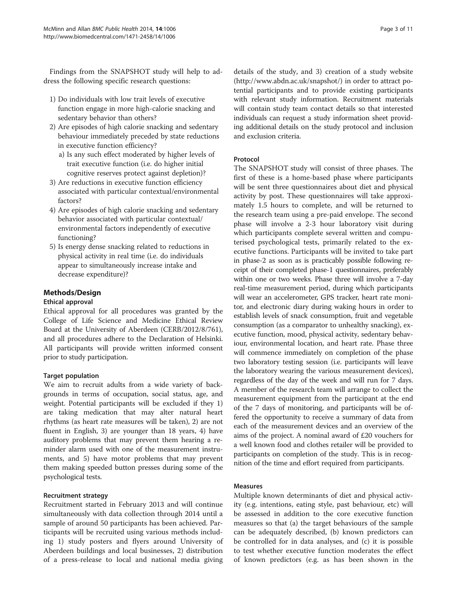Findings from the SNAPSHOT study will help to address the following specific research questions:

- 1) Do individuals with low trait levels of executive function engage in more high-calorie snacking and sedentary behavior than others?
- 2) Are episodes of high calorie snacking and sedentary behaviour immediately preceded by state reductions in executive function efficiency?
	- a) Is any such effect moderated by higher levels of trait executive function (i.e. do higher initial cognitive reserves protect against depletion)?
- 3) Are reductions in executive function efficiency associated with particular contextual/environmental factors?
- 4) Are episodes of high calorie snacking and sedentary behavior associated with particular contextual/ environmental factors independently of executive functioning?
- 5) Is energy dense snacking related to reductions in physical activity in real time (i.e. do individuals appear to simultaneously increase intake and decrease expenditure)?

# Methods/Design

#### Ethical approval

Ethical approval for all procedures was granted by the College of Life Science and Medicine Ethical Review Board at the University of Aberdeen (CERB/2012/8/761), and all procedures adhere to the Declaration of Helsinki. All participants will provide written informed consent prior to study participation.

# Target population

We aim to recruit adults from a wide variety of backgrounds in terms of occupation, social status, age, and weight. Potential participants will be excluded if they 1) are taking medication that may alter natural heart rhythms (as heart rate measures will be taken), 2) are not fluent in English, 3) are younger than 18 years, 4) have auditory problems that may prevent them hearing a reminder alarm used with one of the measurement instruments, and 5) have motor problems that may prevent them making speeded button presses during some of the psychological tests.

#### Recruitment strategy

Recruitment started in February 2013 and will continue simultaneously with data collection through 2014 until a sample of around 50 participants has been achieved. Participants will be recruited using various methods including 1) study posters and flyers around University of Aberdeen buildings and local businesses, 2) distribution of a press-release to local and national media giving

details of the study, and 3) creation of a study website ([http://www.abdn.ac.uk/snapshot/\)](http://www.abdn.ac.uk/snapshot/) in order to attract potential participants and to provide existing participants with relevant study information. Recruitment materials will contain study team contact details so that interested individuals can request a study information sheet providing additional details on the study protocol and inclusion and exclusion criteria.

# **Protocol**

The SNAPSHOT study will consist of three phases. The first of these is a home-based phase where participants will be sent three questionnaires about diet and physical activity by post. These questionnaires will take approximately 1.5 hours to complete, and will be returned to the research team using a pre-paid envelope. The second phase will involve a 2-3 hour laboratory visit during which participants complete several written and computerised psychological tests, primarily related to the executive functions. Participants will be invited to take part in phase-2 as soon as is practicably possible following receipt of their completed phase-1 questionnaires, preferably within one or two weeks. Phase three will involve a 7-day real-time measurement period, during which participants will wear an accelerometer, GPS tracker, heart rate monitor, and electronic diary during waking hours in order to establish levels of snack consumption, fruit and vegetable consumption (as a comparator to unhealthy snacking), executive function, mood, physical activity, sedentary behaviour, environmental location, and heart rate. Phase three will commence immediately on completion of the phase two laboratory testing session (i.e. participants will leave the laboratory wearing the various measurement devices), regardless of the day of the week and will run for 7 days. A member of the research team will arrange to collect the measurement equipment from the participant at the end of the 7 days of monitoring, and participants will be offered the opportunity to receive a summary of data from each of the measurement devices and an overview of the aims of the project. A nominal award of £20 vouchers for a well known food and clothes retailer will be provided to participants on completion of the study. This is in recognition of the time and effort required from participants.

#### Measures

Multiple known determinants of diet and physical activity (e.g. intentions, eating style, past behaviour, etc) will be assessed in addition to the core executive function measures so that (a) the target behaviours of the sample can be adequately described, (b) known predictors can be controlled for in data analyses, and (c) it is possible to test whether executive function moderates the effect of known predictors (e.g. as has been shown in the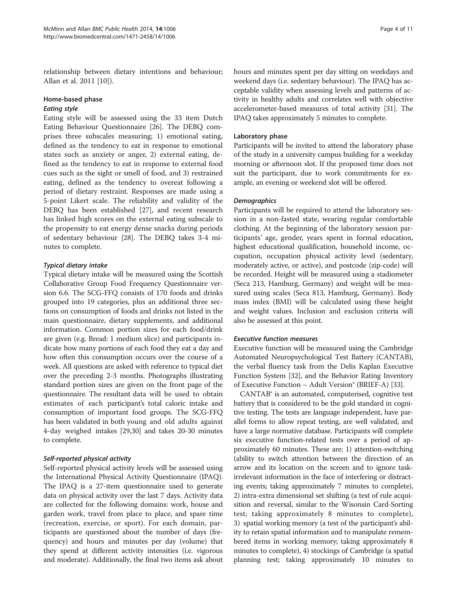relationship between dietary intentions and behaviour; Allan et al. 2011 [[10\]](#page-9-0)).

# Home-based phase

# Eating style

Eating style will be assessed using the 33 item Dutch Eating Behaviour Questionnaire [\[26\]](#page-9-0). The DEBQ comprises three subscales measuring; 1) emotional eating, defined as the tendency to eat in response to emotional states such as anxiety or anger, 2) external eating, defined as the tendency to eat in response to external food cues such as the sight or smell of food, and 3) restrained eating, defined as the tendency to overeat following a period of dietary restraint. Responses are made using a 5-point Likert scale. The reliability and validity of the DEBQ has been established [[27\]](#page-9-0), and recent research has linked high scores on the external eating subscale to the propensity to eat energy dense snacks during periods of sedentary behaviour [\[28\]](#page-9-0). The DEBQ takes 3-4 minutes to complete.

# Typical dietary intake

Typical dietary intake will be measured using the Scottish Collaborative Group Food Frequency Questionnaire version 6.6. The SCG-FFQ consists of 170 foods and drinks grouped into 19 categories, plus an additional three sections on consumption of foods and drinks not listed in the main questionnaire, dietary supplements, and additional information. Common portion sizes for each food/drink are given (e.g. Bread: 1 medium slice) and participants indicate how many portions of each food they eat a day and how often this consumption occurs over the course of a week. All questions are asked with reference to typical diet over the preceding 2-3 months. Photographs illustrating standard portion sizes are given on the front page of the questionnaire. The resultant data will be used to obtain estimates of each participant's total caloric intake and consumption of important food groups. The SCG-FFQ has been validated in both young and old adults against 4-day weighed intakes [[29,30](#page-9-0)] and takes 20-30 minutes to complete.

#### Self-reported physical activity

Self-reported physical activity levels will be assessed using the International Physical Activity Questionnaire (IPAQ). The IPAQ is a 27-item questionnaire used to generate data on physical activity over the last 7 days. Activity data are collected for the following domains: work, house and garden work, travel from place to place, and spare time (recreation, exercise, or sport). For each domain, participants are questioned about the number of days (frequency) and hours and minutes per day (volume) that they spend at different activity intensities (i.e. vigorous and moderate). Additionally, the final two items ask about

hours and minutes spent per day sitting on weekdays and weekend days (i.e. sedentary behaviour). The IPAQ has acceptable validity when assessing levels and patterns of activity in healthy adults and correlates well with objective accelerometer-based measures of total activity [\[31](#page-9-0)]. The IPAQ takes approximately 5 minutes to complete.

#### Laboratory phase

Participants will be invited to attend the laboratory phase of the study in a university campus building for a weekday morning or afternoon slot. If the proposed time does not suit the participant, due to work commitments for example, an evening or weekend slot will be offered.

#### **Demographics**

Participants will be required to attend the laboratory session in a non-fasted state, wearing regular comfortable clothing. At the beginning of the laboratory session participants' age, gender, years spent in formal education, highest educational qualification, household income, occupation, occupation physical activity level (sedentary, moderately active, or active), and postcode (zip-code) will be recorded. Height will be measured using a stadiometer (Seca 213, Hamburg, Germany) and weight will be measured using scales (Seca 813, Hamburg, Germany). Body mass index (BMI) will be calculated using these height and weight values. Inclusion and exclusion criteria will also be assessed at this point.

#### Executive function measures

Executive function will be measured using the Cambridge Automated Neuropsychological Test Battery (CANTAB), the verbal fluency task from the Delis Kaplan Executive Function System [\[32\]](#page-9-0), and the Behavior Rating Inventory of Executive Function – Adult Version® (BRIEF-A) [[33](#page-9-0)].

CANTAB® is an automated, computerised, cognitive test battery that is considered to be the gold standard in cognitive testing. The tests are language independent, have parallel forms to allow repeat testing, are well validated, and have a large normative database. Participants will complete six executive function-related tests over a period of approximately 60 minutes. These are: 1) attention-switching (ability to switch attention between the direction of an arrow and its location on the screen and to ignore taskirrelevant information in the face of interfering or distracting events; taking approximately 7 minutes to complete), 2) intra-extra dimensional set shifting (a test of rule acquisition and reversal, similar to the Wisonsin Card-Sorting test; taking approximately 8 minutes to complete), 3) spatial working memory (a test of the participant's ability to retain spatial information and to manipulate remembered items in working memory; taking approximately 8 minutes to complete), 4) stockings of Cambridge (a spatial planning test; taking approximately 10 minutes to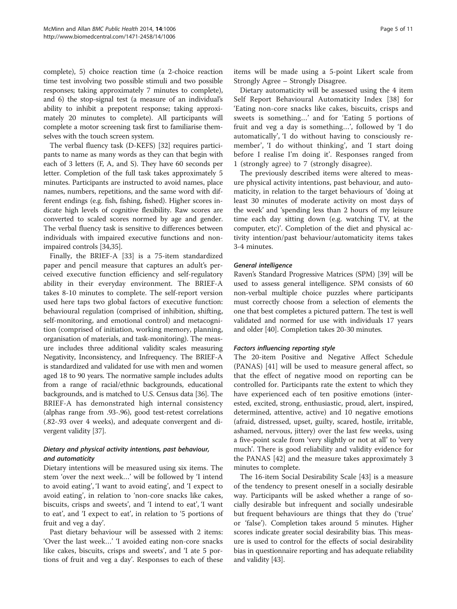complete), 5) choice reaction time (a 2-choice reaction time test involving two possible stimuli and two possible responses; taking approximately 7 minutes to complete), and 6) the stop-signal test (a measure of an individual's ability to inhibit a prepotent response; taking approximately 20 minutes to complete). All participants will complete a motor screening task first to familiarise themselves with the touch screen system.

The verbal fluency task (D-KEFS) [\[32\]](#page-9-0) requires participants to name as many words as they can that begin with each of 3 letters (F, A, and S). They have 60 seconds per letter. Completion of the full task takes approximately 5 minutes. Participants are instructed to avoid names, place names, numbers, repetitions, and the same word with different endings (e.g. fish, fishing, fished). Higher scores indicate high levels of cognitive flexibility. Raw scores are converted to scaled scores normed by age and gender. The verbal fluency task is sensitive to differences between individuals with impaired executive functions and nonimpaired controls [\[34,35](#page-9-0)].

Finally, the BRIEF-A [\[33\]](#page-9-0) is a 75-item standardized paper and pencil measure that captures an adult's perceived executive function efficiency and self-regulatory ability in their everyday environment. The BRIEF-A takes 8-10 minutes to complete. The self-report version used here taps two global factors of executive function: behavioural regulation (comprised of inhibition, shifting, self-monitoring, and emotional control) and metacognition (comprised of initiation, working memory, planning, organisation of materials, and task-monitoring). The measure includes three additional validity scales measuring Negativity, Inconsistency, and Infrequency. The BRIEF-A is standardized and validated for use with men and women aged 18 to 90 years. The normative sample includes adults from a range of racial/ethnic backgrounds, educational backgrounds, and is matched to U.S. Census data [\[36\]](#page-9-0). The BRIEF-A has demonstrated high internal consistency (alphas range from .93-.96), good test-retest correlations (.82-.93 over 4 weeks), and adequate convergent and divergent validity [\[37\]](#page-9-0).

# Dietary and physical activity intentions, past behaviour, and automaticity

Dietary intentions will be measured using six items. The stem 'over the next week…' will be followed by 'I intend to avoid eating', 'I want to avoid eating', and 'I expect to avoid eating', in relation to 'non-core snacks like cakes, biscuits, crisps and sweets', and 'I intend to eat', 'I want to eat', and 'I expect to eat', in relation to '5 portions of fruit and veg a day'.

Past dietary behaviour will be assessed with 2 items: 'Over the last week…' 'I avoided eating non-core snacks like cakes, biscuits, crisps and sweets', and 'I ate 5 portions of fruit and veg a day'. Responses to each of these items will be made using a 5-point Likert scale from Strongly Agree – Strongly Disagree.

Dietary automaticity will be assessed using the 4 item Self Report Behavioural Automaticity Index [[38\]](#page-9-0) for 'Eating non-core snacks like cakes, biscuits, crisps and sweets is something…' and for 'Eating 5 portions of fruit and veg a day is something…', followed by 'I do automatically', 'I do without having to consciously remember', 'I do without thinking', and 'I start doing before I realise I'm doing it'. Responses ranged from 1 (strongly agree) to 7 (strongly disagree).

The previously described items were altered to measure physical activity intentions, past behaviour, and automaticity, in relation to the target behaviours of 'doing at least 30 minutes of moderate activity on most days of the week' and 'spending less than 2 hours of my leisure time each day sitting down (e.g. watching TV, at the computer, etc)'. Completion of the diet and physical activity intention/past behaviour/automaticity items takes 3-4 minutes.

# General intelligence

Raven's Standard Progressive Matrices (SPM) [\[39](#page-9-0)] will be used to assess general intelligence. SPM consists of 60 non-verbal multiple choice puzzles where participants must correctly choose from a selection of elements the one that best completes a pictured pattern. The test is well validated and normed for use with individuals 17 years and older [\[40](#page-9-0)]. Completion takes 20-30 minutes.

#### Factors influencing reporting style

The 20-item Positive and Negative Affect Schedule (PANAS) [\[41](#page-9-0)] will be used to measure general affect, so that the effect of negative mood on reporting can be controlled for. Participants rate the extent to which they have experienced each of ten positive emotions (interested, excited, strong, enthusiastic, proud, alert, inspired, determined, attentive, active) and 10 negative emotions (afraid, distressed, upset, guilty, scared, hostile, irritable, ashamed, nervous, jittery) over the last few weeks, using a five-point scale from 'very slightly or not at all' to 'very much'. There is good reliability and validity evidence for the PANAS [\[42\]](#page-9-0) and the measure takes approximately 3 minutes to complete.

The 16-item Social Desirability Scale [[43\]](#page-9-0) is a measure of the tendency to present oneself in a socially desirable way. Participants will be asked whether a range of socially desirable but infrequent and socially undesirable but frequent behaviours are things that they do ('true' or 'false'). Completion takes around 5 minutes. Higher scores indicate greater social desirability bias. This measure is used to control for the effects of social desirability bias in questionnaire reporting and has adequate reliability and validity [\[43](#page-9-0)].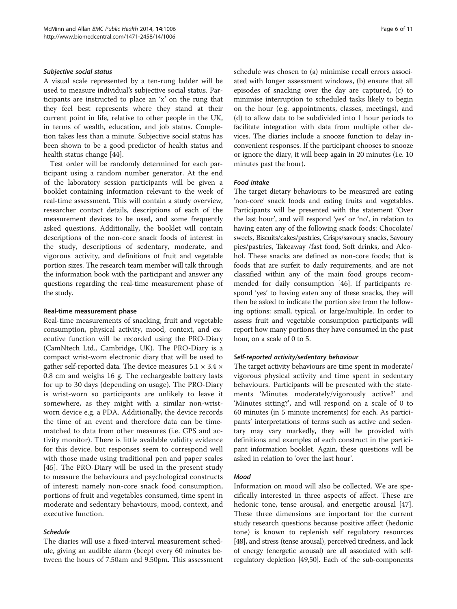#### Subjective social status

A visual scale represented by a ten-rung ladder will be used to measure individual's subjective social status. Participants are instructed to place an 'x' on the rung that they feel best represents where they stand at their current point in life, relative to other people in the UK, in terms of wealth, education, and job status. Completion takes less than a minute. Subjective social status has been shown to be a good predictor of health status and health status change [\[44\]](#page-9-0).

Test order will be randomly determined for each participant using a random number generator. At the end of the laboratory session participants will be given a booklet containing information relevant to the week of real-time assessment. This will contain a study overview, researcher contact details, descriptions of each of the measurement devices to be used, and some frequently asked questions. Additionally, the booklet will contain descriptions of the non-core snack foods of interest in the study, descriptions of sedentary, moderate, and vigorous activity, and definitions of fruit and vegetable portion sizes. The research team member will talk through the information book with the participant and answer any questions regarding the real-time measurement phase of the study.

#### Real-time measurement phase

Real-time measurements of snacking, fruit and vegetable consumption, physical activity, mood, context, and executive function will be recorded using the PRO-Diary (CamNtech Ltd., Cambridge, UK). The PRO-Diary is a compact wrist-worn electronic diary that will be used to gather self-reported data. The device measures  $5.1 \times 3.4 \times$ 0.8 cm and weighs 16 g. The rechargeable battery lasts for up to 30 days (depending on usage). The PRO-Diary is wrist-worn so participants are unlikely to leave it somewhere, as they might with a similar non-wristworn device e.g. a PDA. Additionally, the device records the time of an event and therefore data can be timematched to data from other measures (i.e. GPS and activity monitor). There is little available validity evidence for this device, but responses seem to correspond well with those made using traditional pen and paper scales [[45\]](#page-9-0). The PRO-Diary will be used in the present study to measure the behaviours and psychological constructs of interest; namely non-core snack food consumption, portions of fruit and vegetables consumed, time spent in moderate and sedentary behaviours, mood, context, and executive function.

# Schedule

The diaries will use a fixed-interval measurement schedule, giving an audible alarm (beep) every 60 minutes between the hours of 7.50am and 9.50pm. This assessment schedule was chosen to (a) minimise recall errors associated with longer assessment windows, (b) ensure that all episodes of snacking over the day are captured, (c) to minimise interruption to scheduled tasks likely to begin on the hour (e.g. appointments, classes, meetings), and (d) to allow data to be subdivided into 1 hour periods to facilitate integration with data from multiple other devices. The diaries include a snooze function to delay inconvenient responses. If the participant chooses to snooze or ignore the diary, it will beep again in 20 minutes (i.e. 10 minutes past the hour).

#### Food intake

The target dietary behaviours to be measured are eating 'non-core' snack foods and eating fruits and vegetables. Participants will be presented with the statement 'Over the last hour', and will respond 'yes' or 'no', in relation to having eaten any of the following snack foods: Chocolate/ sweets, Biscuits/cakes/pastries, Crisps/savoury snacks, Savoury pies/pastries, Takeaway /fast food, Soft drinks, and Alcohol. These snacks are defined as non-core foods; that is foods that are surfeit to daily requirements, and are not classified within any of the main food groups recommended for daily consumption [[46](#page-9-0)]. If participants respond 'yes' to having eaten any of these snacks, they will then be asked to indicate the portion size from the following options: small, typical, or large/multiple. In order to assess fruit and vegetable consumption participants will report how many portions they have consumed in the past hour, on a scale of 0 to 5.

#### Self-reported activity/sedentary behaviour

The target activity behaviours are time spent in moderate/ vigorous physical activity and time spent in sedentary behaviours. Participants will be presented with the statements 'Minutes moderately/vigorously active?' and 'Minutes sitting?', and will respond on a scale of 0 to 60 minutes (in 5 minute increments) for each. As participants' interpretations of terms such as active and sedentary may vary markedly, they will be provided with definitions and examples of each construct in the participant information booklet. Again, these questions will be asked in relation to 'over the last hour'.

#### Mood

Information on mood will also be collected. We are specifically interested in three aspects of affect. These are hedonic tone, tense arousal, and energetic arousal [\[47](#page-9-0)]. These three dimensions are important for the current study research questions because positive affect (hedonic tone) is known to replenish self regulatory resources [[48](#page-9-0)], and stress (tense arousal), perceived tiredness, and lack of energy (energetic arousal) are all associated with selfregulatory depletion [[49,50\]](#page-9-0). Each of the sub-components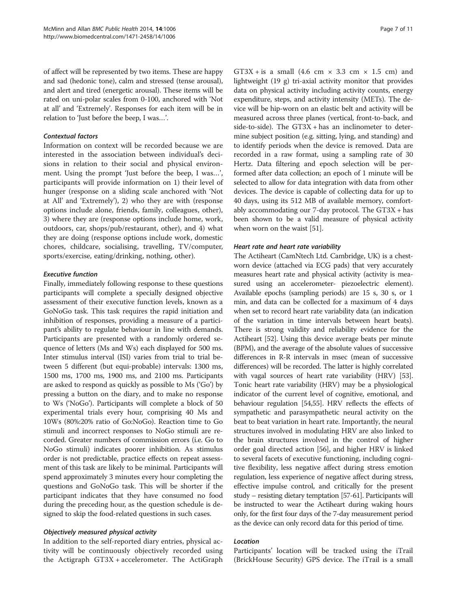of affect will be represented by two items. These are happy and sad (hedonic tone), calm and stressed (tense arousal), and alert and tired (energetic arousal). These items will be rated on uni-polar scales from 0-100, anchored with 'Not at all' and 'Extremely'. Responses for each item will be in relation to 'Just before the beep, I was…'.

# Contextual factors

Information on context will be recorded because we are interested in the association between individual's decisions in relation to their social and physical environment. Using the prompt 'Just before the beep, I was…', participants will provide information on 1) their level of hunger (response on a sliding scale anchored with 'Not at All' and 'Extremely'), 2) who they are with (response options include alone, friends, family, colleagues, other), 3) where they are (response options include home, work, outdoors, car, shops/pub/restaurant, other), and 4) what they are doing (response options include work, domestic chores, childcare, socialising, travelling, TV/computer, sports/exercise, eating/drinking, nothing, other).

# Executive function

Finally, immediately following response to these questions participants will complete a specially designed objective assessment of their executive function levels, known as a GoNoGo task. This task requires the rapid initiation and inhibition of responses, providing a measure of a participant's ability to regulate behaviour in line with demands. Participants are presented with a randomly ordered sequence of letters (Ms and Ws) each displayed for 500 ms. Inter stimulus interval (ISI) varies from trial to trial between 5 different (but equi-probable) intervals: 1300 ms, 1500 ms, 1700 ms, 1900 ms, and 2100 ms. Participants are asked to respond as quickly as possible to Ms ('Go') by pressing a button on the diary, and to make no response to Ws ('NoGo'). Participants will complete a block of 50 experimental trials every hour, comprising 40 Ms and 10Ws (80%:20% ratio of Go:NoGo). Reaction time to Go stimuli and incorrect responses to NoGo stimuli are recorded. Greater numbers of commission errors (i.e. Go to NoGo stimuli) indicates poorer inhibition. As stimulus order is not predictable, practice effects on repeat assessment of this task are likely to be minimal. Participants will spend approximately 3 minutes every hour completing the questions and GoNoGo task. This will be shorter if the participant indicates that they have consumed no food during the preceding hour, as the question schedule is designed to skip the food-related questions in such cases.

# Objectively measured physical activity

In addition to the self-reported diary entries, physical activity will be continuously objectively recorded using the Actigraph GT3X + accelerometer. The ActiGraph

GT3X + is a small  $(4.6 \text{ cm} \times 3.3 \text{ cm} \times 1.5 \text{ cm})$  and lightweight (19 g) tri-axial activity monitor that provides data on physical activity including activity counts, energy expenditure, steps, and activity intensity (METs). The device will be hip-worn on an elastic belt and activity will be measured across three planes (vertical, front-to-back, and side-to-side). The GT3X + has an inclinometer to determine subject position (e.g. sitting, lying, and standing) and to identify periods when the device is removed. Data are recorded in a raw format, using a sampling rate of 30 Hertz. Data filtering and epoch selection will be performed after data collection; an epoch of 1 minute will be selected to allow for data integration with data from other devices. The device is capable of collecting data for up to 40 days, using its 512 MB of available memory, comfortably accommodating our 7-day protocol. The  $GT3X + has$ been shown to be a valid measure of physical activity when worn on the waist [[51](#page-9-0)].

# Heart rate and heart rate variability

The Actiheart (CamNtech Ltd. Cambridge, UK) is a chestworn device (attached via ECG pads) that very accurately measures heart rate and physical activity (activity is measured using an accelerometer- piezoelectric element). Available epochs (sampling periods) are 15 s, 30 s, or 1 min, and data can be collected for a maximum of 4 days when set to record heart rate variability data (an indication of the variation in time intervals between heart beats). There is strong validity and reliability evidence for the Actiheart [[52](#page-9-0)]. Using this device average beats per minute (BPM), and the average of the absolute values of successive differences in R-R intervals in msec (mean of successive differences) will be recorded. The latter is highly correlated with vagal sources of heart rate variability (HRV) [[53](#page-9-0)]. Tonic heart rate variability (HRV) may be a physiological indicator of the current level of cognitive, emotional, and behaviour regulation [[54,55\]](#page-9-0). HRV reflects the effects of sympathetic and parasympathetic neural activity on the beat to beat variation in heart rate. Importantly, the neural structures involved in modulating HRV are also linked to the brain structures involved in the control of higher order goal directed action [\[56\]](#page-9-0), and higher HRV is linked to several facets of executive functioning, including cognitive flexibility, less negative affect during stress emotion regulation, less experience of negative affect during stress, effective impulse control, and critically for the present study – resisting dietary temptation [\[57-](#page-9-0)[61](#page-10-0)]. Participants will be instructed to wear the Actiheart during waking hours only, for the first four days of the 7-day measurement period as the device can only record data for this period of time.

# Location

Participants' location will be tracked using the iTrail (BrickHouse Security) GPS device. The iTrail is a small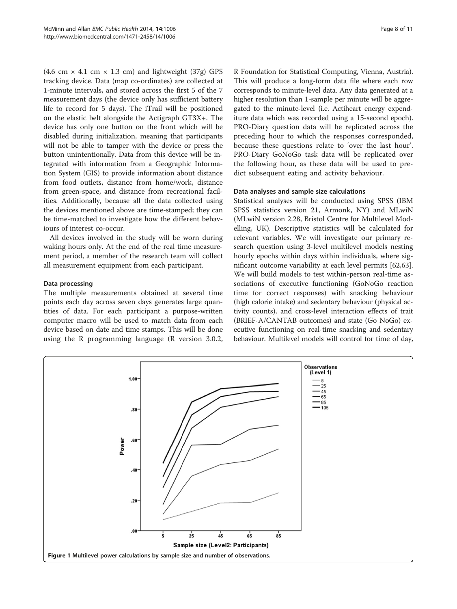<span id="page-7-0"></span> $(4.6 \text{ cm} \times 4.1 \text{ cm} \times 1.3 \text{ cm})$  and lightweight  $(37g)$  GPS tracking device. Data (map co-ordinates) are collected at 1-minute intervals, and stored across the first 5 of the 7 measurement days (the device only has sufficient battery life to record for 5 days). The iTrail will be positioned on the elastic belt alongside the Actigraph GT3X+. The device has only one button on the front which will be disabled during initialization, meaning that participants will not be able to tamper with the device or press the button unintentionally. Data from this device will be integrated with information from a Geographic Information System (GIS) to provide information about distance from food outlets, distance from home/work, distance from green-space, and distance from recreational facilities. Additionally, because all the data collected using the devices mentioned above are time-stamped; they can be time-matched to investigate how the different behaviours of interest co-occur.

All devices involved in the study will be worn during waking hours only. At the end of the real time measurement period, a member of the research team will collect all measurement equipment from each participant.

#### Data processing

The multiple measurements obtained at several time points each day across seven days generates large quantities of data. For each participant a purpose-written computer macro will be used to match data from each device based on date and time stamps. This will be done using the R programming language (R version 3.0.2,

R Foundation for Statistical Computing, Vienna, Austria). This will produce a long-form data file where each row corresponds to minute-level data. Any data generated at a higher resolution than 1-sample per minute will be aggregated to the minute-level (i.e. Actiheart energy expenditure data which was recorded using a 15-second epoch). PRO-Diary question data will be replicated across the preceding hour to which the responses corresponded, because these questions relate to 'over the last hour'. PRO-Diary GoNoGo task data will be replicated over the following hour, as these data will be used to predict subsequent eating and activity behaviour.

#### Data analyses and sample size calculations

Statistical analyses will be conducted using SPSS (IBM SPSS statistics version 21, Armonk, NY) and MLwiN (MLwiN version 2.28, Bristol Centre for Multilevel Modelling, UK). Descriptive statistics will be calculated for relevant variables. We will investigate our primary research question using 3-level multilevel models nesting hourly epochs within days within individuals, where significant outcome variability at each level permits [\[62,63](#page-10-0)]. We will build models to test within-person real-time associations of executive functioning (GoNoGo reaction time for correct responses) with snacking behaviour (high calorie intake) and sedentary behaviour (physical activity counts), and cross-level interaction effects of trait (BRIEF-A/CANTAB outcomes) and state (Go NoGo) executive functioning on real-time snacking and sedentary behaviour. Multilevel models will control for time of day,

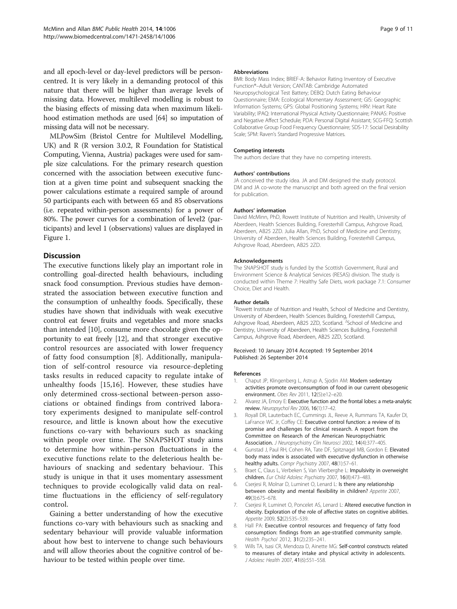<span id="page-8-0"></span>and all epoch-level or day-level predictors will be personcentred. It is very likely in a demanding protocol of this nature that there will be higher than average levels of missing data. However, multilevel modelling is robust to the biasing effects of missing data when maximum likelihood estimation methods are used [[64](#page-10-0)] so imputation of missing data will not be necessary.

MLPowSim (Bristol Centre for Multilevel Modelling, UK) and R (R version 3.0.2, R Foundation for Statistical Computing, Vienna, Austria) packages were used for sample size calculations. For the primary research question concerned with the association between executive function at a given time point and subsequent snacking the power calculations estimate a required sample of around 50 participants each with between 65 and 85 observations (i.e. repeated within-person assessments) for a power of 80%. The power curves for a combination of level2 (participants) and level 1 (observations) values are displayed in Figure [1](#page-7-0).

# **Discussion**

The executive functions likely play an important role in controlling goal-directed health behaviours, including snack food consumption. Previous studies have demonstrated the association between executive function and the consumption of unhealthy foods. Specifically, these studies have shown that individuals with weak executive control eat fewer fruits and vegetables and more snacks than intended [[10](#page-9-0)], consume more chocolate given the opportunity to eat freely [\[12\]](#page-9-0), and that stronger executive control resources are associated with lower frequency of fatty food consumption [8]. Additionally, manipulation of self-control resource via resource-depleting tasks results in reduced capacity to regulate intake of unhealthy foods [[15,16](#page-9-0)]. However, these studies have only determined cross-sectional between-person associations or obtained findings from contrived laboratory experiments designed to manipulate self-control resource, and little is known about how the executive functions co-vary with behaviours such as snacking within people over time. The SNAPSHOT study aims to determine how within-person fluctuations in the executive functions relate to the deleterious health behaviours of snacking and sedentary behaviour. This study is unique in that it uses momentary assessment techniques to provide ecologically valid data on realtime fluctuations in the efficiency of self-regulatory control.

Gaining a better understanding of how the executive functions co-vary with behaviours such as snacking and sedentary behaviour will provide valuable information about how best to intervene to change such behaviours and will allow theories about the cognitive control of behaviour to be tested within people over time.

#### Abbreviations

BMI: Body Mass Index; BRIEF-A: Behavior Rating Inventory of Executive Function®–Adult Version; CANTAB: Cambridge Automated Neuropsychological Test Battery; DEBQ: Dutch Eating Behaviour Questionnaire; EMA: Ecological Momentary Assessment; GIS: Geographic Information Systems; GPS: Global Positioning Systems; HRV: Heart Rate Variability; IPAQ: International Physical Activity Questionnaire; PANAS: Positive and Negative Affect Schedule; PDA: Personal Digital Assistant; SCG-FFQ: Scottish Collaborative Group Food Frequency Questionnaire; SDS-17: Social Desirability Scale; SPM: Raven's Standard Progressive Matrices.

#### Competing interests

The authors declare that they have no competing interests.

#### Authors' contributions

JA conceived the study idea. JA and DM designed the study protocol. DM and JA co-wrote the manuscript and both agreed on the final version for publication.

#### Authors' information

David McMinn, PhD, Rowett Institute of Nutrition and Health, University of Aberdeen, Health Sciences Building, Foresterhill Campus, Ashgrove Road, Aberdeen, AB25 2ZD. Julia Allan, PhD, School of Medicine and Dentistry, University of Aberdeen, Health Sciences Building, Foresterhill Campus, Ashgrove Road, Aberdeen, AB25 2ZD.

#### Acknowledgements

The SNAPSHOT study is funded by the Scottish Government, Rural and Environment Science & Analytical Services (RESAS) division. The study is conducted within Theme 7: Healthy Safe Diets, work package 7.1: Consumer Choice, Diet and Health.

#### Author details

<sup>1</sup> Rowett Institute of Nutrition and Health, School of Medicine and Dentistry, University of Aberdeen, Health Sciences Building, Foresterhill Campus, Ashgrove Road, Aberdeen, AB25 2ZD, Scotland. <sup>2</sup>School of Medicine and Dentistry, University of Aberdeen, Health Sciences Building, Foresterhill Campus, Ashgrove Road, Aberdeen, AB25 2ZD, Scotland.

#### Received: 10 January 2014 Accepted: 19 September 2014 Published: 26 September 2014

#### References

- 1. Chaput JP, Klingenberg L, Astrup A, Sjodin AM: Modern sedentary activities promote overconsumption of food in our current obesogenic environment. Obes Rev 2011, 12(5):e12–e20.
- 2. Alvarez JA, Emory E: Executive function and the frontal lobes: a meta-analytic review. Neuropsychol Rev 2006, 16(1):17–42.
- 3. Royall DR, Lauterbach EC, Cummings JL, Reeve A, Rummans TA, Kaufer DI, LaFrance WC Jr, Coffey CE: Executive control function: a review of its promise and challenges for clinical research. A report from the Committee on Research of the American Neuropsychiatric Association. J Neuropsychiatry Clin Neurosci 2002, 14(4):377–405.
- Gunstad J, Paul RH, Cohen RA, Tate DF, Spitznagel MB, Gordon E: Elevated body mass index is associated with executive dysfunction in otherwise healthy adults. Compr Psychiatry 2007, 48(1):57–61.
- 5. Braet C, Claus L, Verbeken S, Van Vlierberghe L: Impulsivity in overweight children. Eur Child Adolesc Psychiatry 2007, 16(8):473–483.
- 6. Cserjesi R, Molnar D, Luminet O, Lenard L: Is there any relationship between obesity and mental flexibility in children? Appetite 2007, 49(3):675–678.
- 7. Cserjesi R, Luminet O, Poncelet AS, Lenard L: Altered executive function in obesity. Exploration of the role of affective states on cognitive abilities. Appetite 2009, 52(2):535-539.
- 8. Hall PA: Executive control resources and frequency of fatty food consumption: findings from an age-stratified community sample. Health Psychol 2012, 31(2):235–241.
- 9. Wills TA, Isasi CR, Mendoza D, Ainette MG: Self-control constructs related to measures of dietary intake and physical activity in adolescents. J Adolesc Health 2007, 41(6):551–558.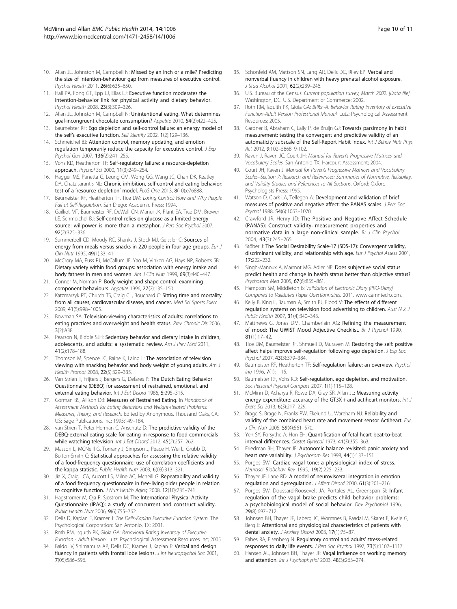- <span id="page-9-0"></span>10. Allan JL, Johnston M, Campbell N: Missed by an inch or a mile? Predicting the size of intention-behaviour gap from measures of executive control. Psychol Health 2011, 26(6):635–650.
- 11. Hall PA, Fong GT, Epp LJ, Elias LJ: Executive function moderates the intention-behavior link for physical activity and dietary behavior. Psychol Health 2008, 23(3):309–326.
- 12. Allan JL, Johnston M, Campbell N: Unintentional eating. What determines goal-incongruent chocolate consumption? Appetite 2010, 54(2):422–425.
- 13. Baumeister RF: Ego depletion and self-control failure: an energy model of the self's executive function. Self Identity 2002, 1(2):129–136.
- 14. Schmeichel BJ: Attention control, memory updating, and emotion regulation temporarily reduce the capacity for executive control. *J Exp* Psychol Gen 2007, 136(2):241–255.
- 15. Vohs KD, Heatherton TF: Self-regulatory failure: a resource-depletion approach. Psychol Sci 2000, 11(3):249–254.
- 16. Hagger MS, Panetta G, Leung CM, Wong GG, Wang JC, Chan DK, Keatley DA, Chatzisarantis NL: Chronic inhibition, self-control and eating behavior: test of a 'resource depletion' model. PLoS One 2013, 8(10):e76888.
- 17. Baumeister RF, Heatherton TF, Tice DM: Losing Control: How and Why People Fail at Self-Regulation. San Diego: Academic Press; 1994.
- 18. Gailliot MT, Baumeister RF, DeWall CN, Maner JK, Plant EA, Tice DM, Brewer LE, Schmeichel BJ: Self-control relies on glucose as a limited energy source: willpower is more than a metaphor. J Pers Soc Psychol 2007, 92(2):325–336.
- 19. Summerbell CD, Moody RC, Shanks J, Stock MJ, Geissler C: Sources of energy from meals versus snacks in 220 people in four age groups. Eur J Clin Nutr 1995, 49(1):33–41.
- 20. McCrory MA, Fuss PJ, McCallum JE, Yao M, Vinken AG, Hays NP, Roberts SB: Dietary variety within food groups: association with energy intake and body fatness in men and women. Am J Clin Nutr 1999, 69(3):440–447.
- 21. Conner M, Norman P: Body weight and shape control: examining component behaviours. Appetite 1996, 27(2):135–150.
- 22. Katzmarzyk PT, Church TS, Craig CL, Bouchard C: Sitting time and mortality from all causes, cardiovascular disease, and cancer. Med Sci Sports Exerc 2009, 41(5):998–1005.
- 23. Bowman SA: Television-viewing characteristics of adults: correlations to eating practices and overweight and health status. Prev Chronic Dis 2006, 3(2):A38.
- 24. Pearson N, Biddle SJH: Sedentary behavior and dietary intake in children, adolescents, and adults: a systematic review. Am J Prev Med 2011, 41(2):178–188.
- 25. Thomson M, Spence JC, Raine K, Laing L: The association of television viewing with snacking behavior and body weight of young adults. Am J Health Promot 2008, 22(5):329–335.
- 26. Van Strien T, Frijters J, Bergers G, Defares P: The Dutch Eating Behavior Questionnaire (DEBQ) for assessment of restrained, emotional, and external eating behavior. Int J Eat Disord 1986, 5:295-315.
- 27. Gorman BS, Allison DB: Measures of Restrained Eating. In Handbook of Assessment Methods for Eating Behaviors and Weight-Related Problems: Measures, Theory, and Research. Edited by Anonymous. Thousand Oaks, CA, US: Sage Publications, Inc; 1995:149–184.
- 28. van Strien T, Peter Herman C, Anschutz D: The predictive validity of the DEBQ-external eating scale for eating in response to food commercials while watching television. Int J Eat Disord 2012, 45(2):257-262.
- 29. Masson L, MCNeill G, Tomany J, Simpson J, Peace H, Wei L, Grubb D, Bolton-Smith C: Statistical approaches for assessing the relative validity of a food-frequency questionnaire: use of correlation coefficients and the kappa statistic. Public Health Nutr 2003, 6(03):313-321.
- 30. Jia X, Craig LCA, Aucott LS, Milne AC, Mcneill G: Repeatability and validity of a food frequency questionnaire in free-living older people in relation to cognitive function. J Nutr Health Aging 2008, 12(10):735-741.
- 31. Hagstromer M, Oja P, Sjostrom M: The International Physical Activity Questionnaire (IPAQ): a study of concurrent and construct validity. Public Health Nutr 2006, 9(6):755–762.
- 32. Delis D, Kaplan E, Kramer J: The Delis-Kaplan Executive Function System. The Psychological Corporation: San Antonio, TX; 2001.
- 33. Roth RM, Isquith PK, Gioia GA: Behavioral Rating Inventory of Executive Function - Adult Version. Lutz: Psychological Assessment Resources Inc; 2005.
- 34. Baldo JV, Shimamura AP, Delis DC, Kramer J, Kaplan E: Verbal and design fluency in patients with frontal lobe lesions. J Int Neuropsychol Soc 2001, 7(05):586–596.
- 35. Schonfeld AM, Mattson SN, Lang AR, Delis DC, Riley EP: Verbal and nonverbal fluency in children with heavy prenatal alcohol exposure. J Stud Alcohol 2001, 62(2):239–246.
- 36. U.S. Bureau of the Census: Current population survey, March 2002. [Data file]. Washington, DC: U.S. Department of Commerce; 2002.
- 37. Roth RM, Isquith PK, Gioia GA: BRIEF-A. Behavior Rating Inventory of Executive Function-Adult Version Professional Manual. Lutz: Psychological Assessment Resources; 2005.
- 38. Gardner B, Abraham C, Lally P, de Bruijn GJ: Towards parsimony in habit measurement: testing the convergent and predictive validity of an automaticity subscale of the Self-Report Habit Index. Int J Behav Nutr Phys Act 2012, 9:102–5868. 9-102.
- 39. Raven J, Raven JC, Court JH: Manual for Raven's Progressive Matrices and Vocabulary Scales. San Antonio TX: Harcourt Assessment; 2004.
- 40. Court JH, Raven J: Manual for Raven's Progressive Matrices and Vocabulary Scales–Section 7: Research and References: Summaries of Normative, Reliability, and Validity Studies and References to All Sections. Oxford: Oxford Psychologists Press; 1995.
- 41. Watson D, Clark LA, Tellegen A: Development and validation of brief measures of positive and negative affect: the PANAS scales. J Pers Soc Psychol 1988, 54(6):1063–1070.
- 42. Crawford JR, Henry JD: The Positive and Negative Affect Schedule (PANAS): Construct validity, measurement properties and normative data in a large non-clinical sample. Br J Clin Psychol 2004, 43(3):245–265.
- 43. Stöber J: The Social Desirability Scale-17 (SDS-17): Convergent validity, discriminant validity, and relationship with age. Eur J Psychol Assess 2001, 17:222–232.
- 44. Singh-Manoux A, Marmot MG, Adler NE: Does subjective social status predict health and change in health status better than objective status? Psychosom Med 2005, 67(6):855–861.
- 45. Hampton SM, Middleton B: Validation of Electronic Diary (PRO-Diary) Compared to Validated Paper Questionnaires. 2011. [www.camntech.com.](http://www.camntech.com)
- 46. Kelly B, King L, Bauman A, Smith BJ, Flood V: The effects of different regulation systems on television food advertising to children. Aust  $N Z J$ Public Health 2007, 31(4):340–343.
- 47. Matthews G, Jones DM, Chamberlain AG: Refining the measurement of mood: The UWIST Mood Adjective Checklist. Br J Psychol 1990, 81(1):17–42.
- 48. Tice DM, Baumeister RF, Shmueli D, Muraven M: Restoring the self: positive affect helps improve self-regulation following ego depletion. J Exp Soc Psychol 2007, 43(3):379–384.
- 49. Baumeister RF, Heatherton TF: Self-regulation failure: an overview. Psychol Inq 1996, 7(1):1–15.
- 50. Baumeister RF, Vohs KD: Self-regulation, ego depletion, and motivation. Soc Personal Psychol Compass 2007, 1(1):115–128.
- 51. McMinn D, Acharya R, Rowe DA, Gray SR, Allan JL: Measuring activity energy expenditure: accuracy of the GT3X + and actiheart monitors. Int J Exerc Sci 2013, 6(3):217–229.
- Brage S, Brage N, Franks PW, Ekelund U, Wareham NJ: Reliability and validity of the combined heart rate and movement sensor Actiheart. Eur J Clin Nutr 2005, 59(4):561–570.
- 53. Yeh SY, Forsythe A, Hon EH: Quantification of fetal heart beat-to-beat interval differences. Obstet Gynecol 1973, 41(3):355–363.
- 54. Friedman BH, Thayer JF: Autonomic balance revisited: panic anxiety and heart rate variability. J Psychosom Res 1998, 44(1):133-151.
- 55. Porges SW: Cardiac vagal tone: a physiological index of stress. Neurosci Biobehav Rev 1995, 19(2):225–233.
- 56. Thayer JF, Lane RD: A model of neurovisceral integration in emotion regulation and dysregulation. J Affect Disord 2000, 61(3):201–216.
- 57. Porges SW, Doussard-Roosevelt JA, Portales AL, Greenspan SI: Infant regulation of the vagal brake predicts child behavior problems: a psychobiological model of social behavior. Dev Psychobiol 1996, 29(8):697–712.
- 58. Johnsen BH, Thayer JF, Laberg JC, Wormnes B, Raadal M, Skaret E, Kvale G, Berg E: Attentional and physiological characteristics of patients with dental anxiety. J Anxiety Disord 2003, 17(1):75-87.
- Fabes RA, Eisenberg N: Regulatory control and adults' stress-related responses to daily life events. J Pers Soc Psychol 1997, 73(5):1107–1117.
- 60. Hansen AL, Johnsen BH, Thayer JF: Vagal influence on working memory and attention. Int J Psychophysiol 2003, 48(3):263-274.